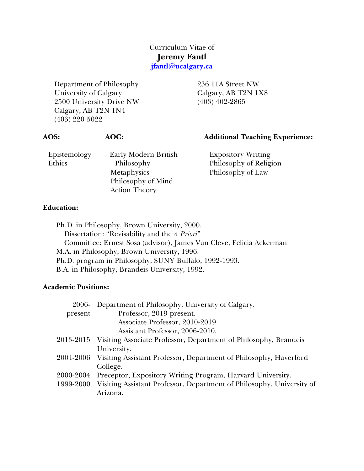# Curriculum Vitae of **Jeremy Fantl jfantl@ucalgary.ca**

Department of Philosophy University of Calgary 2500 University Drive NW Calgary, AB T2N 1N4 (403) 220-5022

236 11A Street NW Calgary, AB T2N 1X8 (403) 402-2865

| <b>AOS:</b>            | AOC:                                                                                            | <b>Additional Teaching Experience:</b>                                   |
|------------------------|-------------------------------------------------------------------------------------------------|--------------------------------------------------------------------------|
| Epistemology<br>Ethics | Early Modern British<br>Philosophy<br>Metaphysics<br>Philosophy of Mind<br><b>Action Theory</b> | <b>Expository Writing</b><br>Philosophy of Religion<br>Philosophy of Law |
| <b>Education:</b>      |                                                                                                 |                                                                          |

Ph.D. in Philosophy, Brown University, 2000. Dissertation: "Revisability and the *A Priori*" Committee: Ernest Sosa (advisor), James Van Cleve, Felicia Ackerman M.A. in Philosophy, Brown University, 1996. Ph.D. program in Philosophy, SUNY Buffalo, 1992-1993. B.A. in Philosophy, Brandeis University, 1992.

## **Academic Positions:**

| 2006-     | Department of Philosophy, University of Calgary.                            |
|-----------|-----------------------------------------------------------------------------|
| present   | Professor, 2019-present.                                                    |
|           | Associate Professor, 2010-2019.                                             |
|           | Assistant Professor, 2006-2010.                                             |
| 2013-2015 | Visiting Associate Professor, Department of Philosophy, Brandeis            |
|           | University.                                                                 |
|           | 2004-2006 Visiting Assistant Professor, Department of Philosophy, Haverford |
|           | College.                                                                    |
| 2000-2004 | Preceptor, Expository Writing Program, Harvard University.                  |
| 1999-2000 | Visiting Assistant Professor, Department of Philosophy, University of       |
|           | Arizona.                                                                    |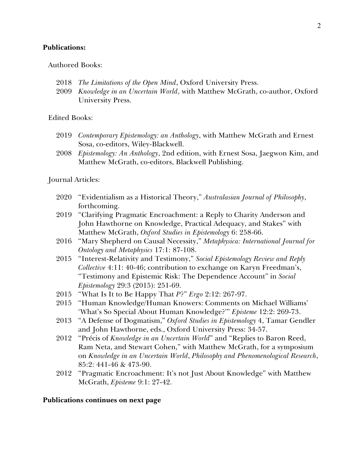#### **Publications:**

#### Authored Books:

- 2018 *The Limitations of the Open Mind*, Oxford University Press.
- 2009 *Knowledge in an Uncertain World*, with Matthew McGrath, co-author, Oxford University Press.

Edited Books:

- 2019 *Contemporary Epistemology: an Anthology*, with Matthew McGrath and Ernest Sosa, co-editors, Wiley-Blackwell.
- 2008 *Epistemology: An Anthology*, 2nd edition, with Ernest Sosa, Jaegwon Kim, and Matthew McGrath, co-editors, Blackwell Publishing.

Journal Articles:

- 2020 "Evidentialism as a Historical Theory," *Australasian Journal of Philosophy*, forthcoming.
- 2019 "Clarifying Pragmatic Encroachment: a Reply to Charity Anderson and John Hawthorne on Knowledge, Practical Adequacy, and Stakes" with Matthew McGrath, *Oxford Studies in Epistemology* 6: 258-66.
- 2016 "Mary Shepherd on Causal Necessity," *Metaphysica: International Journal for Ontology and Metaphysics* 17:1: 87-108.
- 2015 "Interest-Relativity and Testimony," *Social Epistemology Review and Reply Collective* 4:11: 40-46; contribution to exchange on Karyn Freedman's, "Testimony and Epistemic Risk: The Dependence Account" in *Social Epistemology* 29:3 (2015): 251-69.
- 2015 "What Is It to Be Happy That *P*?" *Ergo* 2:12: 267-97.
- 2015 "Human Knowledge/Human Knowers: Comments on Michael Williams' 'What's So Special About Human Knowledge?'" *Episteme* 12:2: 269-73.
- 2013 "A Defense of Dogmatism," *Oxford Studies in Epistemology* 4, Tamar Gendler and John Hawthorne, eds., Oxford University Press: 34-57.
- 2012 "Précis of *Knowledge in an Uncertain World*" and "Replies to Baron Reed, Ram Neta, and Stewart Cohen," with Matthew McGrath, for a symposium on *Knowledge in an Uncertain World*, *Philosophy and Phenomenological Research*, 85:2: 441-46 & 473-90.
- 2012 "Pragmatic Encroachment: It's not Just About Knowledge" with Matthew McGrath, *Episteme* 9:1: 27-42.

#### **Publications continues on next page**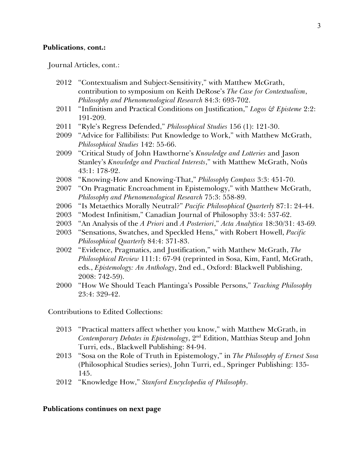#### **Publications**, **cont.:**

Journal Articles, cont.:

- 2012 "Contextualism and Subject-Sensitivity," with Matthew McGrath, contribution to symposium on Keith DeRose's *The Case for Contextualism*, *Philosophy and Phenomenological Research* 84:3: 693-702.
- 2011 "Infinitism and Practical Conditions on Justification," *Logos & Episteme* 2:2: 191-209.
- 2011 "Ryle's Regress Defended," *Philosophical Studies* 156 (1): 121-30.
- 2009 "Advice for Fallibilists: Put Knowledge to Work," with Matthew McGrath, *Philosophical Studies* 142: 55-66.
- 2009 "Critical Study of John Hawthorne's *Knowledge and Lotteries* and Jason Stanley's *Knowledge and Practical Interests*," with Matthew McGrath, Noûs 43:1: 178-92.
- 2008 "Knowing-How and Knowing-That," *Philosophy Compass* 3:3: 451-70.
- 2007 "On Pragmatic Encroachment in Epistemology," with Matthew McGrath, *Philosophy and Phenomenological Research* 75:3: 558-89.
- 2006 "Is Metaethics Morally Neutral?" *Pacific Philosophical Quarterly* 87:1: 24-44.
- 2003 "Modest Infinitism," Canadian Journal of Philosophy 33:4: 537-62.
- 2003 "An Analysis of the *A Priori* and *A Posteriori*," *Acta Analytica* 18:30/31: 43-69*.*
- 2003 "Sensations, Swatches, and Speckled Hens," with Robert Howell, *Pacific Philosophical Quarterly* 84:4: 371-83.
- 2002 "Evidence, Pragmatics, and Justification," with Matthew McGrath, *The Philosophical Review* 111:1: 67-94 (reprinted in Sosa, Kim, Fantl, McGrath, eds., *Epistemology: An Anthology*, 2nd ed., Oxford: Blackwell Publishing, 2008: 742-59).
- 2000 "How We Should Teach Plantinga's Possible Persons," *Teaching Philosophy* 23:4: 329-42.

Contributions to Edited Collections:

- 2013 "Practical matters affect whether you know," with Matthew McGrath, in *Contemporary Debates in Epistemology*, 2nd Edition, Matthias Steup and John Turri, eds., Blackwell Publishing: 84-94.
- 2013 "Sosa on the Role of Truth in Epistemology," in *The Philosophy of Ernest Sosa* (Philosophical Studies series), John Turri, ed., Springer Publishing: 135- 145.
- 2012 "Knowledge How," *Stanford Encyclopedia of Philosophy*.

### **Publications continues on next page**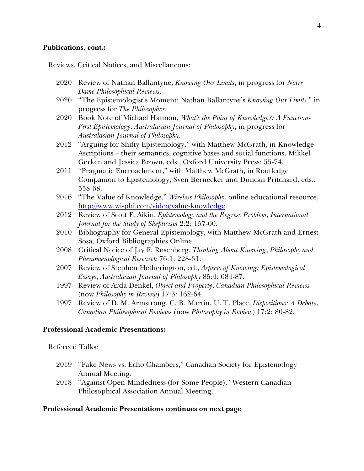#### **Publications**, **cont.:**

Reviews, Critical Notices, and Miscellaneous:

- 2020 Review of Nathan Ballantyne, *Knowing Our Limits*, in progress for *Notre Dame Philosophical Reviews*.
- 2020 "The Epistemologist's Moment: Nathan Ballantyne's *Knowing Our Limits*," in progress for *The Philosopher*.
- 2020 Book Note of Michael Hannon, *What's the Point of Knowledge?: A Function-First Epistemology*, *Australasian Journal of Philosophy*, in progress for *Australasian Journal of Philosophy*.
- 2012 "Arguing for Shifty Epistemology," with Matthew McGrath, in Knowledge Ascriptions – their semantics, cognitive bases and social functions, Mikkel Gerken and Jessica Brown, eds., Oxford University Press: 55-74.
- 2011 "Pragmatic Encroachment," with Matthew McGrath, in Routledge Companion to Epistemology, Sven Bernecker and Duncan Pritchard, eds.: 558-68.
- 2016 "The Value of Knowledge," *Wireless Philosophy*, online educational resource, http://www.wi-phi.com/video/value-knowledge.
- 2012 Review of Scott F. Aikin, *Epistemology and the Regress Problem*, *International Journal for the Study of Skepticism* 2:2: 157-60.
- 2010 Bibliography for General Epistemology, with Matthew McGrath and Ernest Sosa, Oxford Bibliographies Online.
- 2008 Critical Notice of Jay F. Rosenberg, *Thinking About Knowing*, *Philosophy and Phenomenological Research* 76:1: 228-31.
- 2007 Review of Stephen Hetherington, ed., *Aspects of Knowing: Epistemological Essays*, *Australasian Journal of Philosophy* 85:4: 684-87.
- 1997 Review of Arda Denkel, *Object and Property*, *Canadian Philosophical Reviews*  (now *Philosophy in Review*) 17:3: 162-64.
- 1997 Review of D. M. Armstrong, C. B. Martin, U. T. Place, *Dispositions: A Debate*, *Canadian Philosophical Reviews* (now *Philosophy in Review*) 17:2: 80-82.

### **Professional Academic Presentations:**

Refereed Talks:

- 2019 "Fake News vs. Echo Chambers," Canadian Society for Epistemology Annual Meeting.
- 2018 "Against Open-Mindedness (for Some People)," Western Canadian Philosophical Association Annual Meeting.

### **Professional Academic Presentations continues on next page**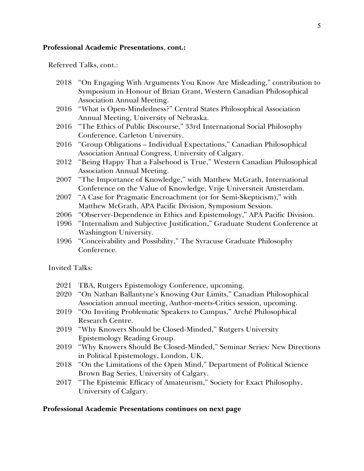#### **Professional Academic Presentations**, **cont.:**

Refereed Talks, cont.:

- 2018 "On Engaging With Arguments You Know Are Misleading," contribution to Symposium in Honour of Brian Grant, Western Canadian Philosophical Association Annual Meeting.
- 2016 "What is Open-Mindedness?" Central States Philosophical Association Annual Meeting, University of Nebraska.
- 2016 "The Ethics of Public Discourse," 33rd International Social Philosophy Conference, Carleton University.
- 2016 "Group Obligations Individual Expectations," Canadian Philosophical Association Annual Congress, University of Calgary.
- 2012 "Being Happy That a Falsehood is True," Western Canadian Philosophical Association Annual Meeting.
- 2007 "The Importance of Knowledge," with Matthew McGrath, International Conference on the Value of Knowledge, Vrije Universiteit Amsterdam.
- 2007 "A Case for Pragmatic Encroachment (or for Semi-Skepticism)," with Matthew McGrath, APA Pacific Division, Symposium Session.
- 2006 "Observer-Dependence in Ethics and Epistemology," APA Pacific Division.
- 1996 "Internalism and Subjective Justification," Graduate Student Conference at Washington University.
- 1996 "Conceivability and Possibility," The Syracuse Graduate Philosophy Conference.

Invited Talks:

- 2021 TBA, Rutgers Epistemology Conference, upcoming.
- 2020 "On Nathan Ballantyne's Knowing Our Limits," Canadian Philosophical Association annual meeting, Author-meets-Critics session, upcoming.
- 2019 "On Inviting Problematic Speakers to Campus," Arché Philosophical Research Centre.
- 2019 "Why Knowers Should be Closed-Minded," Rutgers University Epistemology Reading Group.
- 2019 "Why Knowers Should Be Closed-Minded," Seminar Series: New Directions in Political Epistemology, London, UK.
- 2018 "On the Limitations of the Open Mind," Department of Political Science Brown Bag Series, University of Calgary.
- 2017 "The Epistemic Efficacy of Amateurism," Society for Exact Philosophy, University of Calgary.

### **Professional Academic Presentations continues on next page**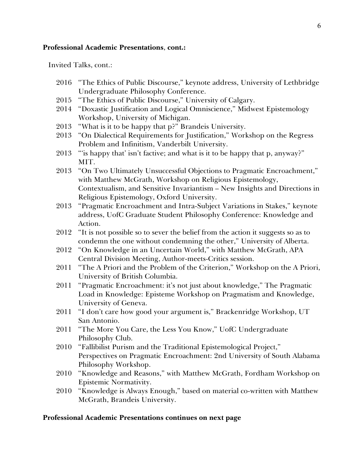#### **Professional Academic Presentations**, **cont.:**

Invited Talks, cont.:

- 2016 "The Ethics of Public Discourse," keynote address, University of Lethbridge Undergraduate Philosophy Conference.
- 2015 "The Ethics of Public Discourse," University of Calgary.
- 2014 "Doxastic Justification and Logical Omniscience," Midwest Epistemology Workshop, University of Michigan.
- 2013 "What is it to be happy that p?" Brandeis University.
- 2013 "On Dialectical Requirements for Justification," Workshop on the Regress Problem and Infinitism, Vanderbilt University.
- 2013 "'is happy that' isn't factive; and what is it to be happy that p, anyway?" MIT.
- 2013 "On Two Ultimately Unsuccessful Objections to Pragmatic Encroachment," with Matthew McGrath, Workshop on Religious Epistemology, Contextualism, and Sensitive Invariantism – New Insights and Directions in Religious Epistemology, Oxford University.
- 2013 "Pragmatic Encroachment and Intra-Subject Variations in Stakes," keynote address, UofC Graduate Student Philosophy Conference: Knowledge and Action.
- 2012 "It is not possible so to sever the belief from the action it suggests so as to condemn the one without condemning the other," University of Alberta.
- 2012 "On Knowledge in an Uncertain World," with Matthew McGrath, APA Central Division Meeting, Author-meets-Critics session.
- 2011 "The A Priori and the Problem of the Criterion," Workshop on the A Priori, University of British Columbia.
- 2011 "Pragmatic Encroachment: it's not just about knowledge," The Pragmatic Load in Knowledge: Episteme Workshop on Pragmatism and Knowledge, University of Geneva.
- 2011 "I don't care how good your argument is," Brackenridge Workshop, UT San Antonio.
- 2011 "The More You Care, the Less You Know," UofC Undergraduate Philosophy Club.
- 2010 "Fallibilist Purism and the Traditional Epistemological Project," Perspectives on Pragmatic Encroachment: 2nd University of South Alabama Philosophy Workshop.
- 2010 "Knowledge and Reasons," with Matthew McGrath, Fordham Workshop on Epistemic Normativity.
- 2010 "Knowledge is Always Enough," based on material co-written with Matthew McGrath, Brandeis University.

#### **Professional Academic Presentations continues on next page**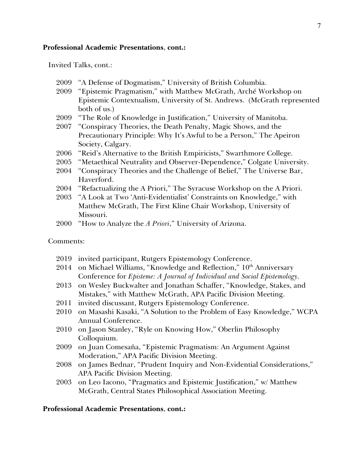#### **Professional Academic Presentations**, **cont.:**

Invited Talks, cont.:

- 2009 "A Defense of Dogmatism," University of British Columbia.
- 2009 "Epistemic Pragmatism," with Matthew McGrath, Arché Workshop on Epistemic Contextualism, University of St. Andrews. (McGrath represented both of us.)
- 2009 "The Role of Knowledge in Justification," University of Manitoba.
- 2007 "Conspiracy Theories, the Death Penalty, Magic Shows, and the Precautionary Principle: Why It's Awful to be a Person," The Apeiron Society, Calgary.
- 2006 "Reid's Alternative to the British Empiricists," Swarthmore College.
- 2005 "Metaethical Neutrality and Observer-Dependence," Colgate University.
- 2004 "Conspiracy Theories and the Challenge of Belief," The Universe Bar, Haverford.
- 2004 "Refactualizing the A Priori," The Syracuse Workshop on the A Priori.
- 2003 "A Look at Two 'Anti-Evidentialist' Constraints on Knowledge," with Matthew McGrath, The First Kline Chair Workshop, University of Missouri.
- 2000 "How to Analyze the *A Priori*," University of Arizona.

#### Comments:

- 2019 invited participant, Rutgers Epistemology Conference.
- 2014 on Michael Williams, "Knowledge and Reflection,"  $10<sup>th</sup>$  Anniversary Conference for *Episteme: A Journal of Individual and Social Epistemology*.
- 2013 on Wesley Buckwalter and Jonathan Schaffer, "Knowledge, Stakes, and Mistakes," with Matthew McGrath, APA Pacific Division Meeting.
- 2011 invited discussant, Rutgers Epistemology Conference.
- 2010 on Masashi Kasaki, "A Solution to the Problem of Easy Knowledge," WCPA Annual Conference.
- 2010 on Jason Stanley, "Ryle on Knowing How," Oberlin Philosophy Colloquium.
- 2009 on Juan Comesaña, "Epistemic Pragmatism: An Argument Against Moderation," APA Pacific Division Meeting.
- 2008 on James Bednar, "Prudent Inquiry and Non-Evidential Considerations," APA Pacific Division Meeting.
- 2003 on Leo Iacono, "Pragmatics and Epistemic Justification," w/ Matthew McGrath, Central States Philosophical Association Meeting.

#### **Professional Academic Presentations**, **cont.:**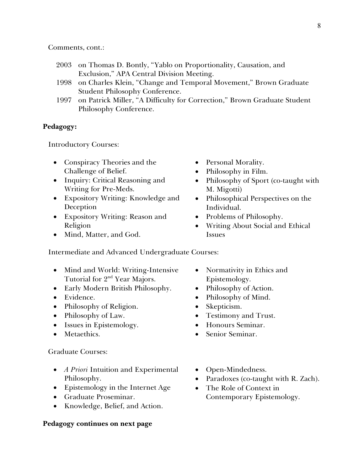Comments, cont.:

- 2003 on Thomas D. Bontly, "Yablo on Proportionality, Causation, and Exclusion," APA Central Division Meeting.
- 1998 on Charles Klein, "Change and Temporal Movement," Brown Graduate Student Philosophy Conference.
- 1997 on Patrick Miller, "A Difficulty for Correction," Brown Graduate Student Philosophy Conference.

#### **Pedagogy:**

Introductory Courses:

- Conspiracy Theories and the Challenge of Belief.
- Inquiry: Critical Reasoning and Writing for Pre-Meds.
- Expository Writing: Knowledge and Deception
- Expository Writing: Reason and Religion
- Mind, Matter, and God.
- Personal Morality.
- Philosophy in Film.
- Philosophy of Sport (co-taught with M. Migotti)
- Philosophical Perspectives on the Individual.
- Problems of Philosophy.
- Writing About Social and Ethical Issues

Intermediate and Advanced Undergraduate Courses:

- Mind and World: Writing-Intensive Tutorial for 2<sup>nd</sup> Year Majors.
- Early Modern British Philosophy.
- Evidence.
- Philosophy of Religion.
- Philosophy of Law.
- Issues in Epistemology.
- Metaethics.

#### Graduate Courses:

- *A Priori* Intuition and Experimental Philosophy.
- Epistemology in the Internet Age
- Graduate Proseminar.
- Knowledge, Belief, and Action.

#### **Pedagogy continues on next page**

- Normativity in Ethics and Epistemology.
- Philosophy of Action.
- Philosophy of Mind.
- Skepticism.
- Testimony and Trust.
- Honours Seminar.
- Senior Seminar.
- Open-Mindedness.
- Paradoxes (co-taught with R. Zach).
- The Role of Context in Contemporary Epistemology.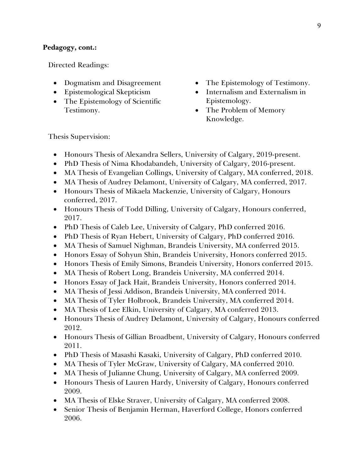## **Pedagogy, cont.:**

Directed Readings:

- Dogmatism and Disagreement
- Epistemological Skepticism
- The Epistemology of Scientific Testimony.
- The Epistemology of Testimony.
- Internalism and Externalism in Epistemology.
- The Problem of Memory Knowledge.

Thesis Supervision:

- Honours Thesis of Alexandra Sellers, University of Calgary, 2019-present.
- PhD Thesis of Nima Khodabandeh, University of Calgary, 2016-present.
- MA Thesis of Evangelian Collings, University of Calgary, MA conferred, 2018.
- MA Thesis of Audrey Delamont, University of Calgary, MA conferred, 2017.
- Honours Thesis of Mikaela Mackenzie, University of Calgary, Honours conferred, 2017.
- Honours Thesis of Todd Dilling, University of Calgary, Honours conferred, 2017.
- PhD Thesis of Caleb Lee, University of Calgary, PhD conferred 2016.
- PhD Thesis of Ryan Hebert, University of Calgary, PhD conferred 2016.
- MA Thesis of Samuel Nighman, Brandeis University, MA conferred 2015.
- Honors Essay of Sohyun Shin, Brandeis University, Honors conferred 2015.
- Honors Thesis of Emily Simons, Brandeis University, Honors conferred 2015.
- MA Thesis of Robert Long, Brandeis University, MA conferred 2014.
- Honors Essay of Jack Hait, Brandeis University, Honors conferred 2014.
- MA Thesis of Jessi Addison, Brandeis University, MA conferred 2014.
- MA Thesis of Tyler Holbrook, Brandeis University, MA conferred 2014.
- MA Thesis of Lee Elkin, University of Calgary, MA conferred 2013.
- Honours Thesis of Audrey Delamont, University of Calgary, Honours conferred 2012.
- Honours Thesis of Gillian Broadbent, University of Calgary, Honours conferred 2011.
- PhD Thesis of Masashi Kasaki, University of Calgary, PhD conferred 2010.
- MA Thesis of Tyler McGraw, University of Calgary, MA conferred 2010.
- MA Thesis of Julianne Chung, University of Calgary, MA conferred 2009.
- Honours Thesis of Lauren Hardy, University of Calgary, Honours conferred 2009.
- MA Thesis of Elske Straver, University of Calgary, MA conferred 2008.
- Senior Thesis of Benjamin Herman, Haverford College, Honors conferred 2006.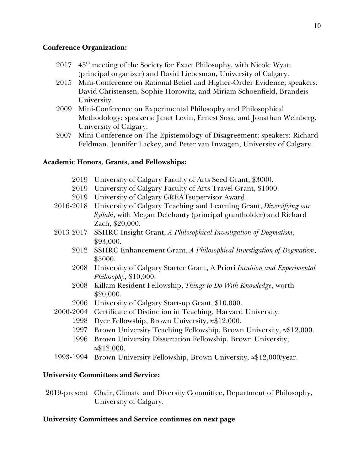## **Conference Organization:**

- $2017$  45<sup>th</sup> meeting of the Society for Exact Philosophy, with Nicole Wyatt (principal organizer) and David Liebesman, University of Calgary.
- 2015 Mini-Conference on Rational Belief and Higher-Order Evidence; speakers: David Christensen, Sophie Horowitz, and Miriam Schoenfield, Brandeis University.
- 2009 Mini-Conference on Experimental Philosophy and Philosophical Methodology; speakers: Janet Levin, Ernest Sosa, and Jonathan Weinberg, University of Calgary.
- 2007 Mini-Conference on The Epistemology of Disagreement; speakers: Richard Feldman, Jennifer Lackey, and Peter van Inwagen, University of Calgary.

## **Academic Honors**, **Grants**, **and Fellowships:**

- 2019 University of Calgary Faculty of Arts Seed Grant, \$3000.
- 2019 University of Calgary Faculty of Arts Travel Grant, \$1000.
- 2019 University of Calgary GREATsupervisor Award.
- 2016-2018 University of Calgary Teaching and Learning Grant, *Diversifying our Syllabi*, with Megan Delehanty (principal grantholder) and Richard Zach, \$20,000.
- 2013-2017 SSHRC Insight Grant, *A Philosophical Investigation of Dogmatism*, \$93,000.
	- 2012 SSHRC Enhancement Grant, *A Philosophical Investigation of Dogmatism*, \$5000.
	- 2008 University of Calgary Starter Grant, A Priori *Intuition and Experimental Philosophy*, \$10,000.
	- 2008 Killam Resident Fellowship, *Things to Do With Knowledge*, worth \$20,000.
	- 2006 University of Calgary Start-up Grant, \$10,000.
- 2000-2004 Certificate of Distinction in Teaching, Harvard University.
	- 1998 Dyer Fellowship, Brown University,  $\approx 12,000$ .
	- 1997 Brown University Teaching Fellowship, Brown University,  $\approx $12,000$ .
	- 1996 Brown University Dissertation Fellowship, Brown University,  $\approx $12,000.$
- 1993-1994 Brown University Fellowship, Brown University,  $\approx 12,000$ /year.

## **University Committees and Service:**

2019-present Chair, Climate and Diversity Committee, Department of Philosophy, University of Calgary.

## **University Committees and Service continues on next page**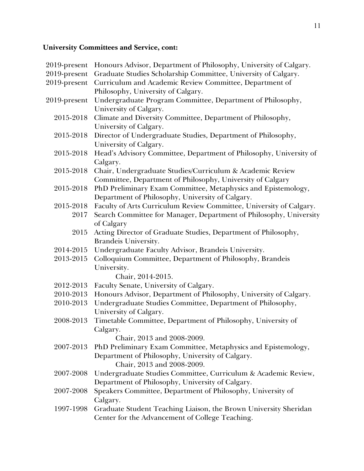# **University Committees and Service, cont:**

| 2019-present | Honours Advisor, Department of Philosophy, University of Calgary.   |
|--------------|---------------------------------------------------------------------|
| 2019-present | Graduate Studies Scholarship Committee, University of Calgary.      |
| 2019-present | Curriculum and Academic Review Committee, Department of             |
|              | Philosophy, University of Calgary.                                  |
| 2019-present | Undergraduate Program Committee, Department of Philosophy,          |
|              | University of Calgary.                                              |
| 2015-2018    | Climate and Diversity Committee, Department of Philosophy,          |
|              | University of Calgary.                                              |
| 2015-2018    | Director of Undergraduate Studies, Department of Philosophy,        |
|              | University of Calgary.                                              |
| 2015-2018    | Head's Advisory Committee, Department of Philosophy, University of  |
|              | Calgary.                                                            |
| 2015-2018    | Chair, Undergraduate Studies/Curriculum & Academic Review           |
|              | Committee, Department of Philosophy, University of Calgary          |
| 2015-2018    | PhD Preliminary Exam Committee, Metaphysics and Epistemology,       |
|              | Department of Philosophy, University of Calgary.                    |
| 2015-2018    | Faculty of Arts Curriculum Review Committee, University of Calgary. |
| 2017         | Search Committee for Manager, Department of Philosophy, University  |
|              | of Calgary                                                          |
| 2015         | Acting Director of Graduate Studies, Department of Philosophy,      |
|              | Brandeis University.                                                |
| 2014-2015    | Undergraduate Faculty Advisor, Brandeis University.                 |
| 2013-2015    | Colloquium Committee, Department of Philosophy, Brandeis            |
|              | University.                                                         |
|              | Chair, 2014-2015.                                                   |
| 2012-2013    | Faculty Senate, University of Calgary.                              |
| 2010-2013    | Honours Advisor, Department of Philosophy, University of Calgary.   |
| 2010-2013    | Undergraduate Studies Committee, Department of Philosophy,          |
|              | University of Calgary.                                              |
| 2008-2013    | Timetable Committee, Department of Philosophy, University of        |
|              | Calgary.                                                            |
|              | Chair, 2013 and 2008-2009.                                          |
| 2007-2013    | PhD Preliminary Exam Committee, Metaphysics and Epistemology,       |
|              | Department of Philosophy, University of Calgary.                    |
|              | Chair, 2013 and 2008-2009.                                          |
| 2007-2008    | Undergraduate Studies Committee, Curriculum & Academic Review,      |
|              | Department of Philosophy, University of Calgary.                    |
| 2007-2008    | Speakers Committee, Department of Philosophy, University of         |
|              | Calgary.                                                            |
| 1997-1998    | Graduate Student Teaching Liaison, the Brown University Sheridan    |
|              | Center for the Advancement of College Teaching.                     |